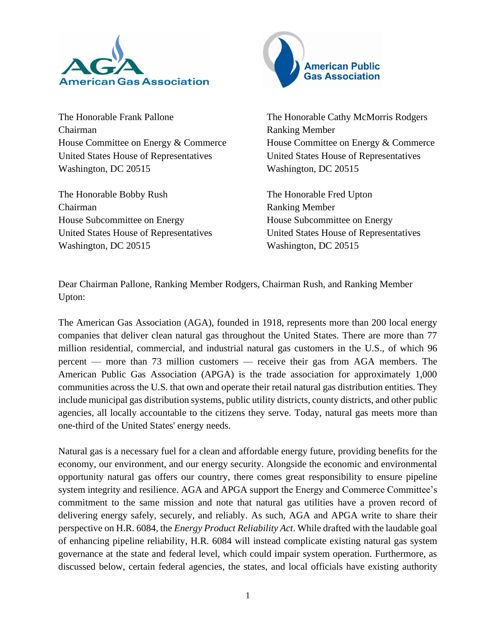

The Honorable Frank Pallone Chairman House Committee on Energy & Commerce United States House of Representatives Washington, DC 20515

The Honorable Bobby Rush Chairman House Subcommittee on Energy United States House of Representatives Washington, DC 20515



The Honorable Cathy McMorris Rodgers Ranking Member House Committee on Energy & Commerce United States House of Representatives Washington, DC 20515

The Honorable Fred Upton Ranking Member House Subcommittee on Energy United States House of Representatives Washington, DC 20515

Dear Chairman Pallone, Ranking Member Rodgers, Chairman Rush, and Ranking Member Upton:

The American Gas Association (AGA), founded in 1918, represents more than 200 local energy companies that deliver clean natural gas throughout the United States. There are more than 77 million residential, commercial, and industrial natural gas customers in the U.S., of which 96 percent — more than 73 million customers — receive their gas from AGA members. The American Public Gas Association (APGA) is the trade association for approximately 1,000 communities across the U.S. that own and operate their retail natural gas distribution entities. They include municipal gas distribution systems, public utility districts, county districts, and other public agencies, all locally accountable to the citizens they serve. Today, natural gas meets more than one-third of the United States' energy needs.

Natural gas is a necessary fuel for a clean and affordable energy future, providing benefits for the economy, our environment, and our energy security. Alongside the economic and environmental opportunity natural gas offers our country, there comes great responsibility to ensure pipeline system integrity and resilience. AGA and APGA support the Energy and Commerce Committee's commitment to the same mission and note that natural gas utilities have a proven record of delivering energy safely, securely, and reliably. As such, AGA and APGA write to share their perspective on H.R. 6084, the *Energy Product Reliability Act*. While drafted with the laudable goal of enhancing pipeline reliability, H.R. 6084 will instead complicate existing natural gas system governance at the state and federal level, which could impair system operation. Furthermore, as discussed below, certain federal agencies, the states, and local officials have existing authority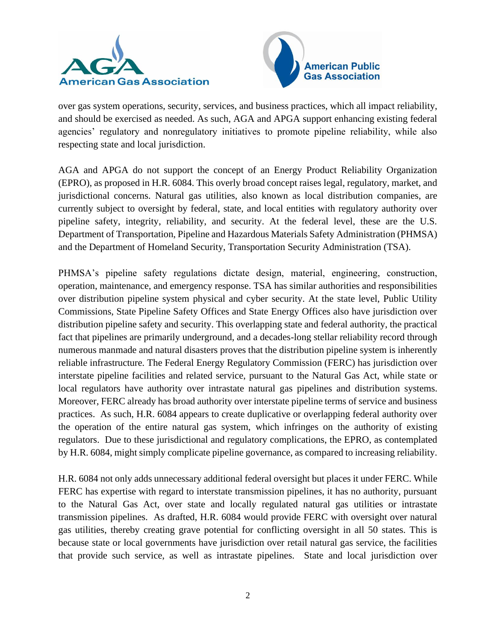



over gas system operations, security, services, and business practices, which all impact reliability, and should be exercised as needed. As such, AGA and APGA support enhancing existing federal agencies' regulatory and nonregulatory initiatives to promote pipeline reliability, while also respecting state and local jurisdiction.

AGA and APGA do not support the concept of an Energy Product Reliability Organization (EPRO), as proposed in H.R. 6084. This overly broad concept raises legal, regulatory, market, and jurisdictional concerns. Natural gas utilities, also known as local distribution companies, are currently subject to oversight by federal, state, and local entities with regulatory authority over pipeline safety, integrity, reliability, and security. At the federal level, these are the U.S. Department of Transportation, Pipeline and Hazardous Materials Safety Administration (PHMSA) and the Department of Homeland Security, Transportation Security Administration (TSA).

PHMSA's pipeline safety regulations dictate design, material, engineering, construction, operation, maintenance, and emergency response. TSA has similar authorities and responsibilities over distribution pipeline system physical and cyber security. At the state level, Public Utility Commissions, State Pipeline Safety Offices and State Energy Offices also have jurisdiction over distribution pipeline safety and security. This overlapping state and federal authority, the practical fact that pipelines are primarily underground, and a decades-long stellar reliability record through numerous manmade and natural disasters proves that the distribution pipeline system is inherently reliable infrastructure. The Federal Energy Regulatory Commission (FERC) has jurisdiction over interstate pipeline facilities and related service, pursuant to the Natural Gas Act, while state or local regulators have authority over intrastate natural gas pipelines and distribution systems. Moreover, FERC already has broad authority over interstate pipeline terms of service and business practices. As such, H.R. 6084 appears to create duplicative or overlapping federal authority over the operation of the entire natural gas system, which infringes on the authority of existing regulators. Due to these jurisdictional and regulatory complications, the EPRO, as contemplated by H.R. 6084, might simply complicate pipeline governance, as compared to increasing reliability.

H.R. 6084 not only adds unnecessary additional federal oversight but places it under FERC. While FERC has expertise with regard to interstate transmission pipelines, it has no authority, pursuant to the Natural Gas Act, over state and locally regulated natural gas utilities or intrastate transmission pipelines. As drafted, H.R. 6084 would provide FERC with oversight over natural gas utilities, thereby creating grave potential for conflicting oversight in all 50 states. This is because state or local governments have jurisdiction over retail natural gas service, the facilities that provide such service, as well as intrastate pipelines. State and local jurisdiction over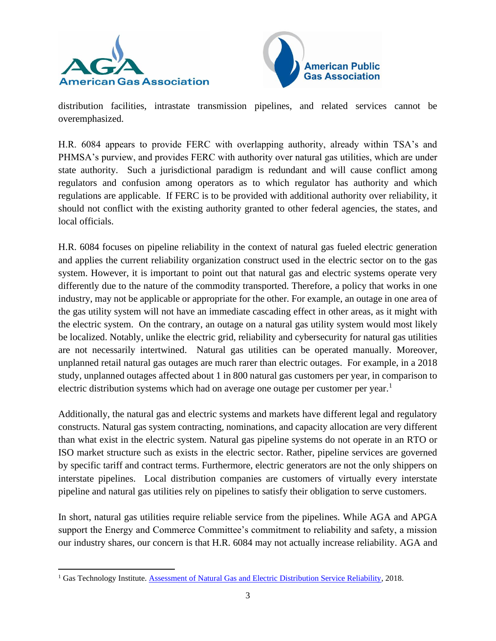



distribution facilities, intrastate transmission pipelines, and related services cannot be overemphasized.

H.R. 6084 appears to provide FERC with overlapping authority, already within TSA's and PHMSA's purview, and provides FERC with authority over natural gas utilities, which are under state authority. Such a jurisdictional paradigm is redundant and will cause conflict among regulators and confusion among operators as to which regulator has authority and which regulations are applicable. If FERC is to be provided with additional authority over reliability, it should not conflict with the existing authority granted to other federal agencies, the states, and local officials.

H.R. 6084 focuses on pipeline reliability in the context of natural gas fueled electric generation and applies the current reliability organization construct used in the electric sector on to the gas system. However, it is important to point out that natural gas and electric systems operate very differently due to the nature of the commodity transported. Therefore, a policy that works in one industry, may not be applicable or appropriate for the other. For example, an outage in one area of the gas utility system will not have an immediate cascading effect in other areas, as it might with the electric system. On the contrary, an outage on a natural gas utility system would most likely be localized. Notably, unlike the electric grid, reliability and cybersecurity for natural gas utilities are not necessarily intertwined. Natural gas utilities can be operated manually. Moreover, unplanned retail natural gas outages are much rarer than electric outages. For example, in a 2018 study, unplanned outages affected about 1 in 800 natural gas customers per year, in comparison to electric distribution systems which had on average one outage per customer per year.<sup>1</sup>

Additionally, the natural gas and electric systems and markets have different legal and regulatory constructs. Natural gas system contracting, nominations, and capacity allocation are very different than what exist in the electric system. Natural gas pipeline systems do not operate in an RTO or ISO market structure such as exists in the electric sector. Rather, pipeline services are governed by specific tariff and contract terms. Furthermore, electric generators are not the only shippers on interstate pipelines. Local distribution companies are customers of virtually every interstate pipeline and natural gas utilities rely on pipelines to satisfy their obligation to serve customers.

In short, natural gas utilities require reliable service from the pipelines. While AGA and APGA support the Energy and Commerce Committee's commitment to reliability and safety, a mission our industry shares, our concern is that H.R. 6084 may not actually increase reliability. AGA and

<sup>&</sup>lt;sup>1</sup> Gas Technology Institute. [Assessment of Natural Gas and Electric Distribution Service Reliability,](https://www.gti.energy/wp-content/uploads/2018/11/Assessment-of-Natural-Gas-Electric-Distribution-Service-Reliability-TopicalReport-Jul2018.pdf) 2018.